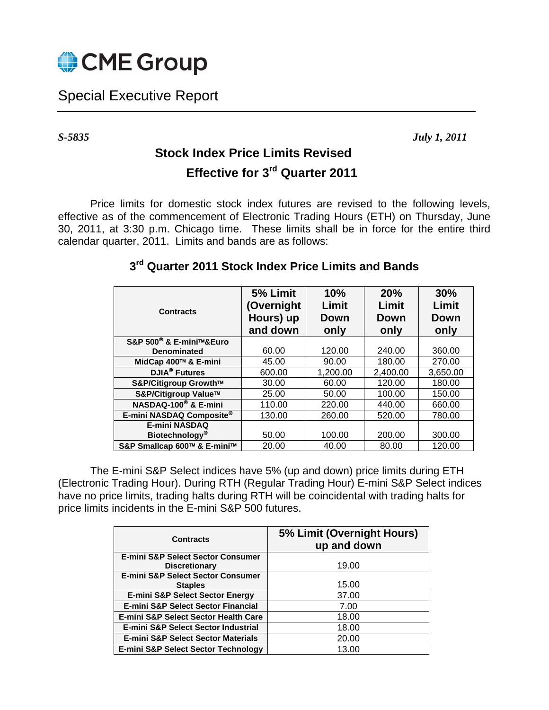

## Special Executive Report

*S-5835 July 1, 2011* 

## **Stock Index Price Limits Revised Effective for 3rd Quarter 2011**

Price limits for domestic stock index futures are revised to the following levels, effective as of the commencement of Electronic Trading Hours (ETH) on Thursday, June 30, 2011, at 3:30 p.m. Chicago time. These limits shall be in force for the entire third calendar quarter, 2011. Limits and bands are as follows:

| <b>Contracts</b>                    | 5% Limit<br>(Overnight<br>Hours) up<br>and down | 10%<br>Limit<br><b>Down</b><br>only | 20%<br>Limit<br>Down<br>only | 30%<br>Limit<br><b>Down</b><br>only |
|-------------------------------------|-------------------------------------------------|-------------------------------------|------------------------------|-------------------------------------|
| S&P 500 <sup>®</sup> & E-mini™&Euro |                                                 |                                     |                              |                                     |
| <b>Denominated</b>                  | 60.00                                           | 120.00                              | 240.00                       | 360.00                              |
| MidCap 400™ & E-mini                | 45.00                                           | 90.00                               | 180.00                       | 270.00                              |
| <b>DJIA<sup>®</sup></b> Futures     | 600.00                                          | 1,200.00                            | 2,400.00                     | 3,650.00                            |
| S&P/Citigroup Growth™               | 30.00                                           | 60.00                               | 120.00                       | 180.00                              |
| S&P/Citigroup Value™                | 25.00                                           | 50.00                               | 100.00                       | 150.00                              |
| NASDAQ-100 <sup>®</sup> & E-mini    | 110.00                                          | 220.00                              | 440.00                       | 660.00                              |
| E-mini NASDAQ Composite®            | 130.00                                          | 260.00                              | 520.00                       | 780.00                              |
| <b>E-mini NASDAQ</b>                |                                                 |                                     |                              |                                     |
| Biotechnology <sup>®</sup>          | 50.00                                           | 100.00                              | 200.00                       | 300.00                              |
| S&P Smallcap 600™ & E-mini™         | 20.00                                           | 40.00                               | 80.00                        | 120.00                              |

## **3rd Quarter 2011 Stock Index Price Limits and Bands**

The E-mini S&P Select indices have 5% (up and down) price limits during ETH (Electronic Trading Hour). During RTH (Regular Trading Hour) E-mini S&P Select indices have no price limits, trading halts during RTH will be coincidental with trading halts for price limits incidents in the E-mini S&P 500 futures.

| <b>Contracts</b>                              | 5% Limit (Overnight Hours)<br>up and down |
|-----------------------------------------------|-------------------------------------------|
| <b>E-mini S&amp;P Select Sector Consumer</b>  |                                           |
| <b>Discretionary</b>                          | 19.00                                     |
| <b>E-mini S&amp;P Select Sector Consumer</b>  |                                           |
| <b>Staples</b>                                | 15.00                                     |
| <b>E-mini S&amp;P Select Sector Energy</b>    | 37.00                                     |
| <b>E-mini S&amp;P Select Sector Financial</b> | 7.00                                      |
| E-mini S&P Select Sector Health Care          | 18.00                                     |
| E-mini S&P Select Sector Industrial           | 18.00                                     |
| <b>E-mini S&amp;P Select Sector Materials</b> | 20.00                                     |
| E-mini S&P Select Sector Technology           | 13.00                                     |